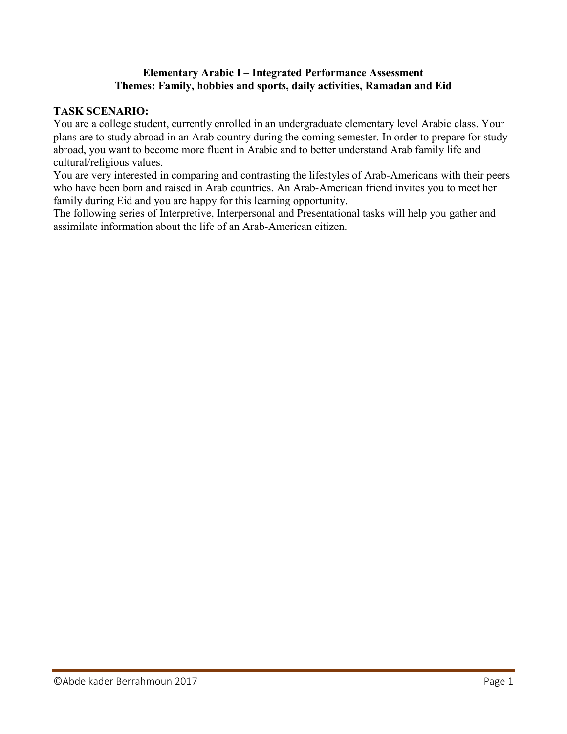## **Elementary Arabic I – Integrated Performance Assessment Themes: Family, hobbies and sports, daily activities, Ramadan and Eid**

## **TASK SCENARIO:**

You are a college student, currently enrolled in an undergraduate elementary level Arabic class. Your plans are to study abroad in an Arab country during the coming semester. In order to prepare for study abroad, you want to become more fluent in Arabic and to better understand Arab family life and cultural/religious values.

You are very interested in comparing and contrasting the lifestyles of Arab-Americans with their peers who have been born and raised in Arab countries. An Arab-American friend invites you to meet her family during Eid and you are happy for this learning opportunity.

The following series of Interpretive, Interpersonal and Presentational tasks will help you gather and assimilate information about the life of an Arab-American citizen.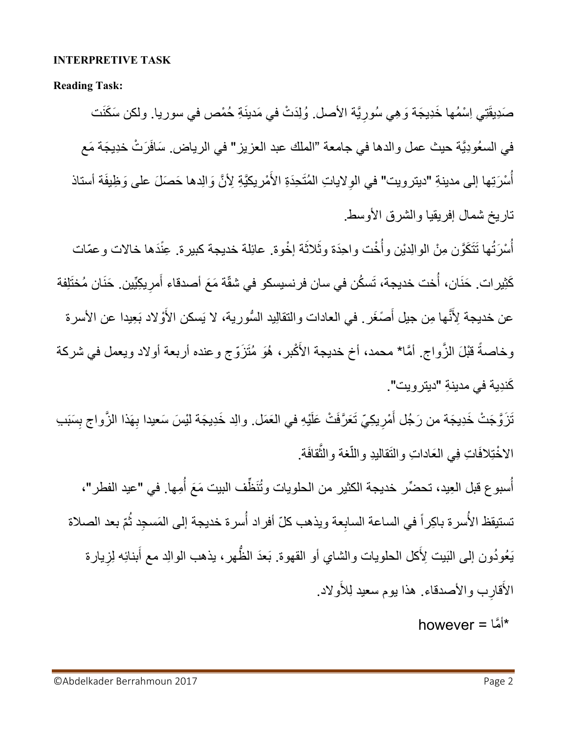### **INTERPRETIVE TASK**

**Reading Task:**

صَدِيقَتِي اِسْمُها خَدِيجَة وَ هِي سُورِيَّة الأصل. وُلِدَتْ في مَدينَةِ حُمْص في سوريا. ولكن سَكَنَت ِ في السعُودِيَّة حيث عمل والدها في جامعة "الملك عبد العزيز " في الرياض. سَافَرَتْ خِدِيجَة مَع أُسْرَتِها إلى مدينةِ "ديترويت" في الوِلاياتِ المُتَحِدَةِ الأَمْريكيَّةِ لِأنَّ وَالِدها حَصَلَ على وَظِيفَة أستاذ ر<br>أ تاريخ شمال إفريقيا والشرق الأوسط.

أُسْرَتُها تَتَكَوَّن مِنْ الوالِديْن وأُخْت واحِدَة وثَلاثَة إخْوة. عائِلة خديجة كبيرة. عِنَّدَها خالات وعمّات َ ر<br>أ كَثِيرات حَنَان، أَخت خديجة، تَسكُن في سان فرنسيسكو في شقّة مَعَ أصدقاء أَمرِيكِيِّين حَنَان مُختَلِفة ر<br>أ َ َ عن خديجة لِأنَّها مِن جيل أَصَغَر . في العادات والتقالِيد السُّورية، لا يَسكن الأَوْلاد بَعِيدا عن الأسرة آهم وخاصةً قَبْلَ الزَّواج. أمَّا\* محمد، أخ خديجة الأَكْبر، هُوَ مُتَزَوّج وعنده أربعة أولاد ويعمل في شركة كَندِية في مدينةِ "ديترويت".

تَزَوَّجَتْ خَدِيجَة من رَجُل أَمْرِيكِيِّ تَعَرَّفَتْ عَلَيْهِ في العَمَل. والِد خَدِيجَة ليْسَ سَعيدا بِهَذا الزَّواج بِسَبَب **ٍ** ِ ِ الاخْتِلافَاتِ فِي الْعَاداتِ والنَقاليدِ واللَّغة والنَّقافَة. ءَ<br>ا

أُسبوع قبل العِيد، تحضِّر خديجة الكثير من الحلويات وتُنَظِّف البيت مَعَ أُمِها. في "عيد الفطر"، و<br>أ ِّ ِ تستيقظ الأُسرة باكِراً في الساعة السابِعة ويذهب كلّ أفراد أُسرة خديجة إلى المَسجِد ثُمّ بعد الصلاة **∶** ر<br>أ يَعُودُون إلى النَبيت لِأكل الحلويات والشاي أو القهوة. بَعدَ الظهر، يذهب الوالِد مع أبنائِه لِزِيارة َ ءَ<br>أ َ ِ الأَقارِب والأصدقاء. هذا يوم سعيد لِلأَولاد. **ٍ** 

\*أ َّما = however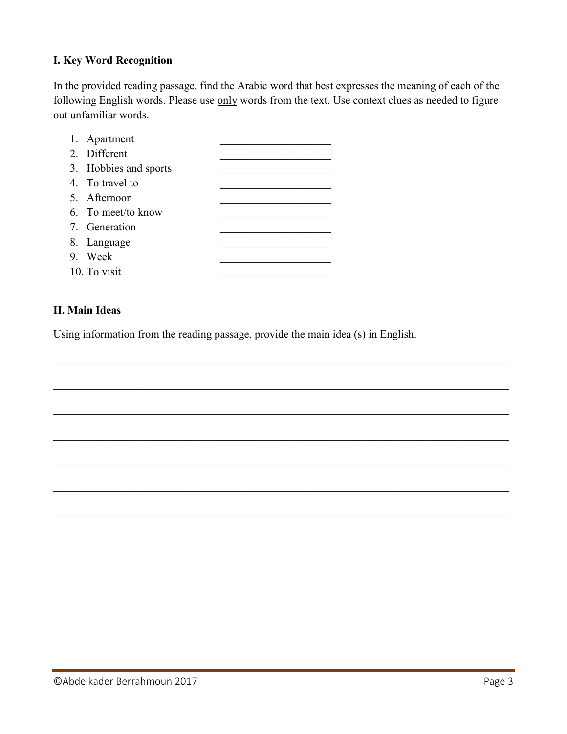# **I. Key Word Recognition**

In the provided reading passage, find the Arabic word that best expresses the meaning of each of the following English words. Please use only words from the text. Use context clues as needed to figure out unfamiliar words.

| 1. Apartment          |  |
|-----------------------|--|
| 2. Different          |  |
| 3. Hobbies and sports |  |
| 4. To travel to       |  |
| 5. Afternoon          |  |
| 6. To meet/to know    |  |
| 7. Generation         |  |
| 8. Language           |  |
| 9. Week               |  |
| 10. To visit          |  |

### **II. Main Ideas**

Using information from the reading passage, provide the main idea (s) in English.

 $\_$  , and the contribution of the contribution of the contribution of the contribution of  $\mathcal{L}_\text{max}$ 

 $\_$  , and the contribution of the contribution of  $\mathcal{L}_\mathcal{A}$  , and the contribution of  $\mathcal{L}_\mathcal{A}$ 

 $\_$  , and the contribution of the contribution of the contribution of the contribution of  $\mathcal{L}_\text{max}$ 

 $\mathcal{L}_\mathcal{L} = \{ \mathcal{L}_\mathcal{L} = \{ \mathcal{L}_\mathcal{L} = \{ \mathcal{L}_\mathcal{L} = \{ \mathcal{L}_\mathcal{L} = \{ \mathcal{L}_\mathcal{L} = \{ \mathcal{L}_\mathcal{L} = \{ \mathcal{L}_\mathcal{L} = \{ \mathcal{L}_\mathcal{L} = \{ \mathcal{L}_\mathcal{L} = \{ \mathcal{L}_\mathcal{L} = \{ \mathcal{L}_\mathcal{L} = \{ \mathcal{L}_\mathcal{L} = \{ \mathcal{L}_\mathcal{L} = \{ \mathcal{L}_\mathcal{$ 

 $\_$  , and the contribution of the contribution of the contribution of the contribution of  $\mathcal{L}_\text{max}$ 

 $\_$  , and the contribution of the contribution of the contribution of the contribution of  $\mathcal{L}_\text{max}$ 

 $\_$  , and the contribution of the contribution of the contribution of the contribution of  $\mathcal{L}_\text{max}$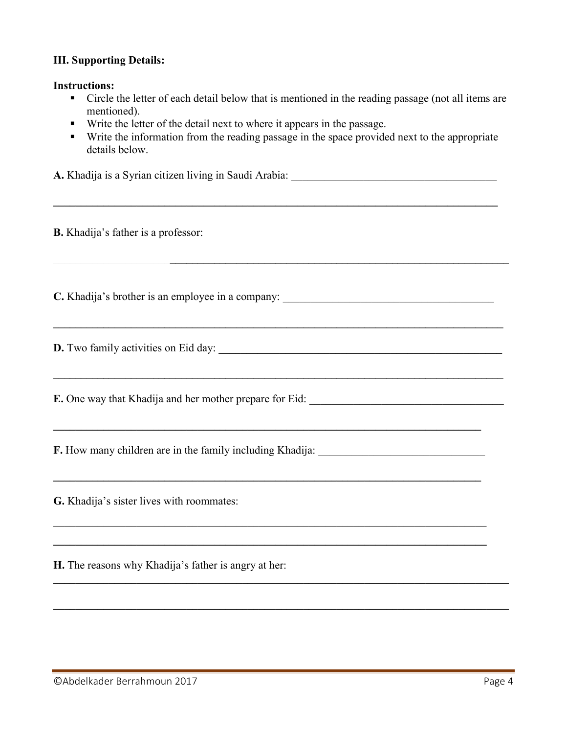## **III. Supporting Details:**

#### **Instructions:**

- Circle the letter of each detail below that is mentioned in the reading passage (not all items are mentioned).
- Write the letter of the detail next to where it appears in the passage.
- Write the information from the reading passage in the space provided next to the appropriate details below.

**A.** Khadija is a Syrian citizen living in Saudi Arabia: \_\_\_\_\_\_\_\_\_\_\_\_\_\_\_\_\_\_\_\_\_\_\_\_\_\_\_\_\_\_\_\_\_\_\_\_\_ **\_\_\_\_\_\_\_\_\_\_\_\_\_\_\_\_\_\_\_\_\_\_\_\_\_\_\_\_\_\_\_\_\_\_\_\_\_\_\_\_\_\_\_\_\_\_\_\_\_\_\_\_\_\_\_\_\_\_\_\_\_\_\_\_\_\_\_\_\_\_\_\_\_\_\_\_\_\_\_\_ B.** Khadija's father is a professor:  $\mathcal{L}_\mathcal{L} = \{ \mathcal{L}_\mathcal{L} = \{ \mathcal{L}_\mathcal{L} = \{ \mathcal{L}_\mathcal{L} = \{ \mathcal{L}_\mathcal{L} = \{ \mathcal{L}_\mathcal{L} = \{ \mathcal{L}_\mathcal{L} = \{ \mathcal{L}_\mathcal{L} = \{ \mathcal{L}_\mathcal{L} = \{ \mathcal{L}_\mathcal{L} = \{ \mathcal{L}_\mathcal{L} = \{ \mathcal{L}_\mathcal{L} = \{ \mathcal{L}_\mathcal{L} = \{ \mathcal{L}_\mathcal{L} = \{ \mathcal{L}_\mathcal{$ C. Khadija's brother is an employee in a company: **\_\_\_\_\_\_\_\_\_\_\_\_\_\_\_\_\_\_\_\_\_\_\_\_\_\_\_\_\_\_\_\_\_\_\_\_\_\_\_\_\_\_\_\_\_\_\_\_\_\_\_\_\_\_\_\_\_\_\_\_\_\_\_\_\_\_\_\_\_\_\_\_\_\_\_\_\_\_\_\_\_ D.** Two family activities on Eid day: \_\_\_\_\_\_\_\_\_\_\_\_\_\_\_\_\_\_\_\_\_\_\_\_\_\_\_\_\_\_\_\_\_\_\_\_\_\_\_\_\_\_\_\_\_\_\_\_\_\_\_ **\_\_\_\_\_\_\_\_\_\_\_\_\_\_\_\_\_\_\_\_\_\_\_\_\_\_\_\_\_\_\_\_\_\_\_\_\_\_\_\_\_\_\_\_\_\_\_\_\_\_\_\_\_\_\_\_\_\_\_\_\_\_\_\_\_\_\_\_\_\_\_\_\_\_\_\_\_\_\_\_\_ E.** One way that Khadija and her mother prepare for Eid: **\_\_\_\_\_\_\_\_\_\_\_\_\_\_\_\_\_\_\_\_\_\_\_\_\_\_\_\_\_\_\_\_\_\_\_\_\_\_\_\_\_\_\_\_\_\_\_\_\_\_\_\_\_\_\_\_\_\_\_\_\_\_\_\_\_\_\_\_\_\_\_\_\_\_\_\_\_ F.** How many children are in the family including Khadija: \_\_\_\_\_\_\_\_\_\_\_\_\_\_\_\_\_\_\_\_\_\_\_\_\_\_\_\_\_\_ **\_\_\_\_\_\_\_\_\_\_\_\_\_\_\_\_\_\_\_\_\_\_\_\_\_\_\_\_\_\_\_\_\_\_\_\_\_\_\_\_\_\_\_\_\_\_\_\_\_\_\_\_\_\_\_\_\_\_\_\_\_\_\_\_\_\_\_\_\_\_\_\_\_\_\_\_\_ G.** Khadija's sister lives with roommates:  $\_$  , and the contribution of the contribution of the contribution of the contribution of  $\mathcal{L}_\mathcal{A}$ **\_\_\_\_\_\_\_\_\_\_\_\_\_\_\_\_\_\_\_\_\_\_\_\_\_\_\_\_\_\_\_\_\_\_\_\_\_\_\_\_\_\_\_\_\_\_\_\_\_\_\_\_\_\_\_\_\_\_\_\_\_\_\_\_\_\_\_\_\_\_\_\_\_\_\_\_\_\_ H.** The reasons why Khadija's father is angry at her:  $\_$  , and the contribution of the contribution of  $\mathcal{L}_\mathcal{A}$  , and the contribution of  $\mathcal{L}_\mathcal{A}$ 

**\_\_\_\_\_\_\_\_\_\_\_\_\_\_\_\_\_\_\_\_\_\_\_\_\_\_\_\_\_\_\_\_\_\_\_\_\_\_\_\_\_\_\_\_\_\_\_\_\_\_\_\_\_\_\_\_\_\_\_\_\_\_\_\_\_\_\_\_\_\_\_\_\_\_\_\_\_\_\_\_\_\_**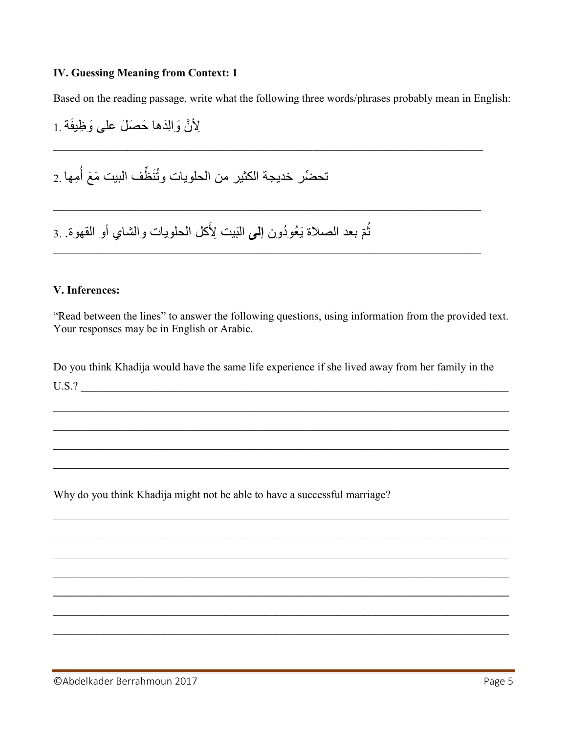## **IV. Guessing Meaning from Context: 1**

Based on the reading passage, write what the following three words/phrases probably mean in English:

لِأَنَّ وَالِدَها حَصَلَ على وَظِيفَة 1

تحضِّر خديجة الكثير من الحلويات وتُنَظِّف البيت مَعَ أُمِها 2

ثُمّ بعد الصلاة يَعُودُون إلى الَّبَيت لِأَكل الحلويات والشَّاي أو القهوة. 3

### V. Inferences:

"Read between the lines" to answer the following questions, using information from the provided text. Your responses may be in English or Arabic.

Do you think Khadija would have the same life experience if she lived away from her family in the  $U.S.?$ 

Why do you think Khadija might not be able to have a successful marriage?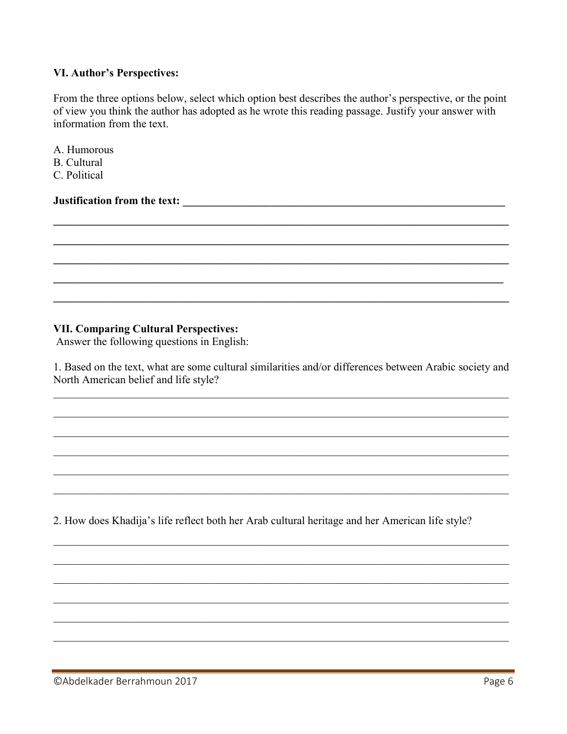### VI. Author's Perspectives:

From the three options below, select which option best describes the author's perspective, or the point of view you think the author has adopted as he wrote this reading passage. Justify your answer with information from the text.

- A. Humorous
- **B.** Cultural
- C Political

## **Solutification from the text:** All the set of the set of the set of the set of the set of the set of the set of the set of the set of the set of the set of the set of the set of the set of the set of the set of the set of

## **VII. Comparing Cultural Perspectives:**

Answer the following questions in English:

1. Based on the text, what are some cultural similarities and/or differences between Arabic society and North American belief and life style?

2. How does Khadija's life reflect both her Arab cultural heritage and her American life style?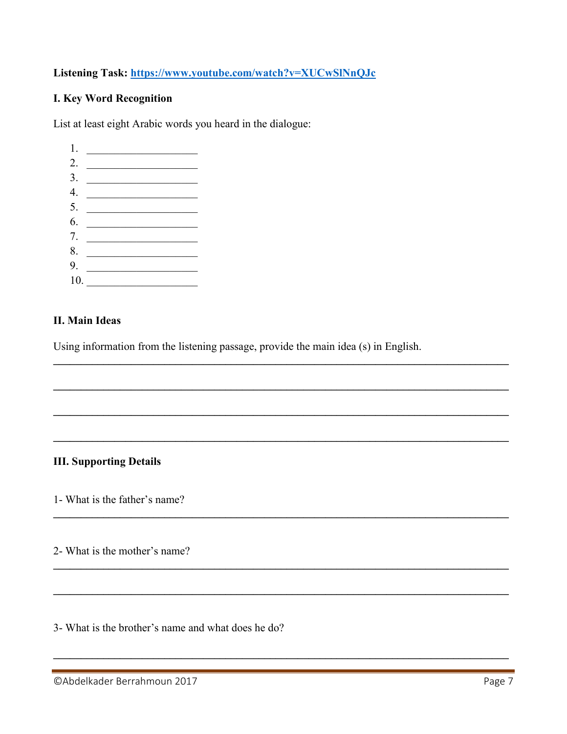# Listening Task: https://www.youtube.com/watch?v=XUCwSlNnQJc

## **I. Key Word Recognition**

List at least eight Arabic words you heard in the dialogue:

 $\begin{tabular}{|c|c|c|} \hline $1$. & \begin{tabular}{|c|c|c|c|} \hline \multicolumn{3}{|c|}{\textbf{1}} & \multicolumn{3}{|c|}{\textbf{1}} & \multicolumn{3}{|c|}{\textbf{1}} & \multicolumn{3}{|c|}{\textbf{1}} & \multicolumn{3}{|c|}{\textbf{1}} & \multicolumn{3}{|c|}{\textbf{1}} & \multicolumn{3}{|c|}{\textbf{1}} & \multicolumn{3}{|c|}{\textbf{1}} & \multicolumn{3}{|c|}{\textbf{1}} & \multicolumn{3}{|c|}{\textbf{1}} &$ 2.  $\qquad \qquad$  $3.$ 4.  $\qquad \qquad$  $6.$ 7.  $\qquad \qquad$ 9.  $\qquad$  $10.$ 

### **II. Main Ideas**

Using information from the listening passage, provide the main idea (s) in English.

## **III. Supporting Details**

1- What is the father's name?

2- What is the mother's name?

3- What is the brother's name and what does he do?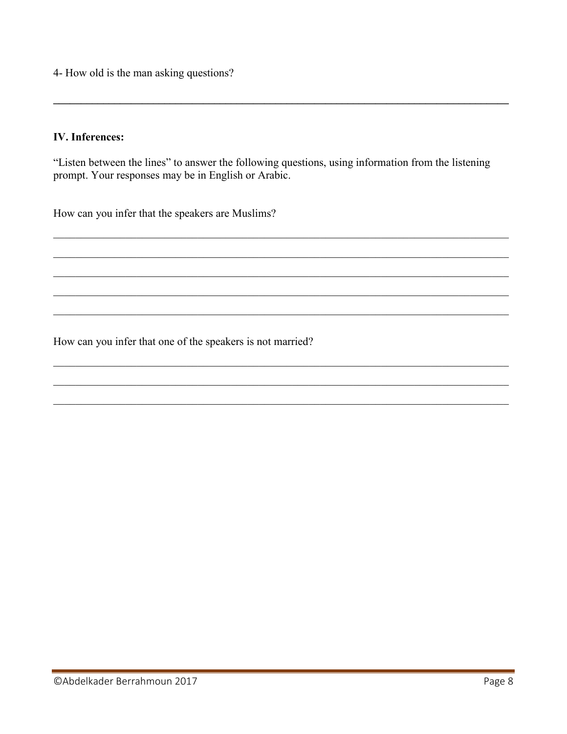4- How old is the man asking questions?

## **IV.** Inferences:

"Listen between the lines" to answer the following questions, using information from the listening prompt. Your responses may be in English or Arabic.

How can you infer that the speakers are Muslims?

How can you infer that one of the speakers is not married?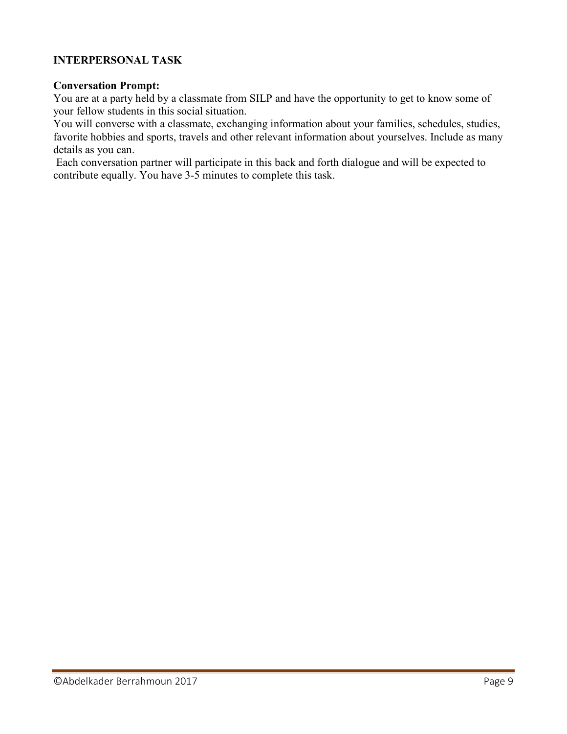# **INTERPERSONAL TASK**

### **Conversation Prompt:**

You are at a party held by a classmate from SILP and have the opportunity to get to know some of your fellow students in this social situation.

You will converse with a classmate, exchanging information about your families, schedules, studies, favorite hobbies and sports, travels and other relevant information about yourselves. Include as many details as you can.

Each conversation partner will participate in this back and forth dialogue and will be expected to contribute equally. You have 3-5 minutes to complete this task.